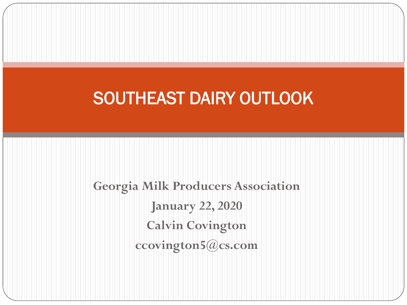#### SOUTHEAST DAIRY OUTLOOK

**Georgia Milk Producers Association January 22, 2020 Calvin Covington ccovington5@cs.com**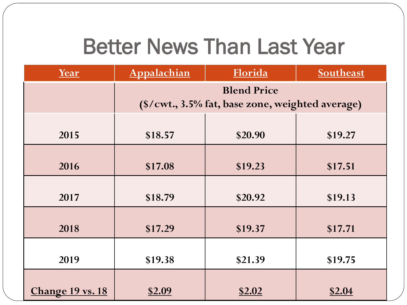#### Better News Than Last Year

| Year             | Appalachian                                                            | Florida       | Southeast     |  |  |
|------------------|------------------------------------------------------------------------|---------------|---------------|--|--|
|                  | <b>Blend Price</b><br>(\$/cwt., 3.5% fat, base zone, weighted average) |               |               |  |  |
|                  |                                                                        |               |               |  |  |
| 2015             | \$18.57                                                                | \$20.90       | \$19.27       |  |  |
| 2016             | \$17.08                                                                | \$19.23       | \$17.51       |  |  |
|                  |                                                                        |               |               |  |  |
| 2017             | \$18.79                                                                | \$20.92       | \$19.13       |  |  |
| 2018             | \$17.29                                                                | \$19.37       | \$17.71       |  |  |
| 2019             | \$19.38                                                                | \$21.39       | \$19.75       |  |  |
| Change 19 vs. 18 | <u>\$2.09</u>                                                          | <u>\$2.02</u> | <u>\$2.04</u> |  |  |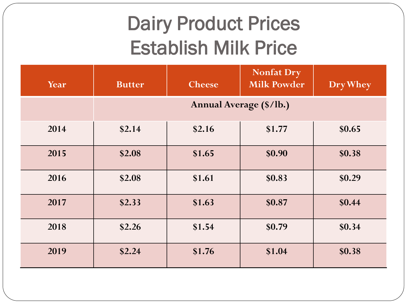#### Dairy Product Prices Establish Milk Price

| Year | <b>Butter</b>           | <b>Cheese</b> | <b>Nonfat Dry</b><br><b>Milk Powder</b> | Dry Whey |
|------|-------------------------|---------------|-----------------------------------------|----------|
|      | Annual Average (\$/lb.) |               |                                         |          |
| 2014 | \$2.14                  | \$2.16        | \$1.77                                  | \$0.65   |
| 2015 | \$2.08                  | \$1.65        | \$0.90                                  | \$0.38   |
| 2016 | \$2.08                  | \$1.61        | \$0.83                                  | \$0.29   |
| 2017 | \$2.33                  | \$1.63        | \$0.87                                  | \$0.44   |
| 2018 | \$2.26                  | \$1.54        | \$0.79                                  | \$0.34   |
| 2019 | \$2.24                  | \$1.76        | \$1.04                                  | \$0.38   |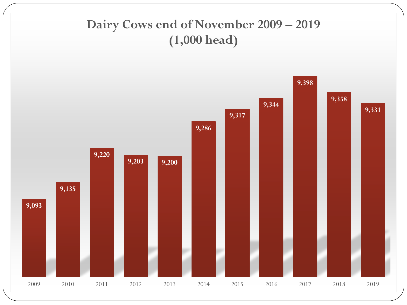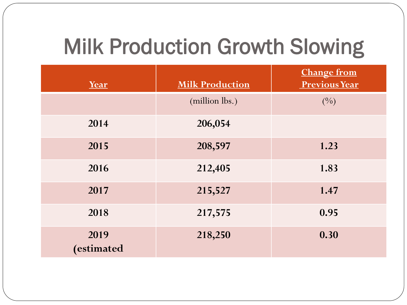### Milk Production Growth Slowing

| Year              | <b>Milk Production</b> | <b>Change from</b><br><b>Previous Year</b> |
|-------------------|------------------------|--------------------------------------------|
|                   | (million lbs.)         | (9/0)                                      |
| 2014              | 206,054                |                                            |
| 2015              | 208,597                | 1.23                                       |
| 2016              | 212,405                | 1.83                                       |
| 2017              | 215,527                | 1.47                                       |
| 2018              | 217,575                | 0.95                                       |
| 2019<br>estimated | 218,250                | 0.30                                       |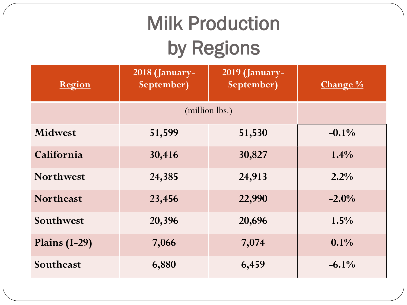## Milk Production by Regions

| Region           | 2018 (January-<br>September) | 2019 (January-<br>September) | Change % |
|------------------|------------------------------|------------------------------|----------|
|                  | (million lbs.)               |                              |          |
| <b>Midwest</b>   | 51,599                       | 51,530                       | $-0.1\%$ |
| California       | 30,416                       | 30,827                       | $1.4\%$  |
| <b>Northwest</b> | 24,385                       | 24,913                       | $2.2\%$  |
| <b>Northeast</b> | 23,456                       | 22,990                       | $-2.0\%$ |
| Southwest        | 20,396                       | 20,696                       | 1.5%     |
| Plains (I-29)    | 7,066                        | 7,074                        | $0.1\%$  |
| Southeast        | 6,880                        | 6,459                        | $-6.1\%$ |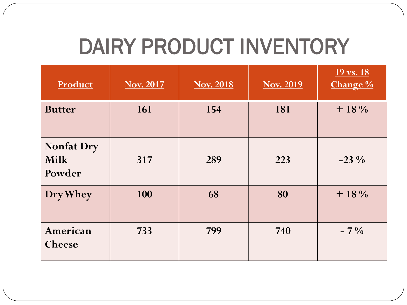### DAIRY PRODUCT INVENTORY

| Product                                    | <b>Nov. 2017</b> | <b>Nov. 2018</b> | <b>Nov. 2019</b> | 19 vs. 18<br>Change % |
|--------------------------------------------|------------------|------------------|------------------|-----------------------|
| <b>Butter</b>                              | 161              | 154              | 181              | $+18\%$               |
| <b>Nonfat Dry</b><br><b>Milk</b><br>Powder | 317              | 289              | 223              | $-23\%$               |
| Dry Whey                                   | 100              | 68               | 80               | $+18\%$               |
| American<br><b>Cheese</b>                  | 733              | 799              | 740              | $-7\%$                |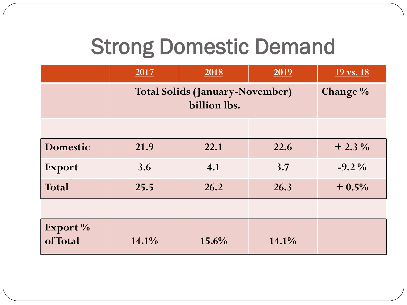#### Strong Domestic Demand

|                     | 2017                                                   | 2018  | 2019  | $19 \text{ vs. } 18$ |
|---------------------|--------------------------------------------------------|-------|-------|----------------------|
|                     | <b>Total Solids (January-November)</b><br>billion lbs. |       |       | Change %             |
|                     |                                                        |       |       |                      |
| <b>Domestic</b>     | 21.9                                                   | 22.1  | 22.6  | $+2.3\%$             |
| <b>Export</b>       | 3.6                                                    | 4.1   | 3.7   | $-9.2\%$             |
| Total               | 25.5                                                   | 26.2  | 26.3  | $+0.5%$              |
|                     |                                                        |       |       |                      |
| Export %<br>ofTotal | 14.1%                                                  | 15.6% | 14.1% |                      |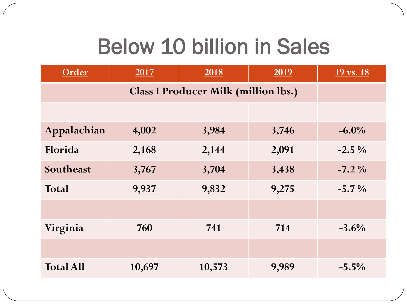#### Below 10 billion in Sales

| Order            | 2017   | 2018                                        | 2019  | 19 vs. 18 |
|------------------|--------|---------------------------------------------|-------|-----------|
|                  |        | <b>Class I Producer Milk (million lbs.)</b> |       |           |
|                  |        |                                             |       |           |
| Appalachian      | 4,002  | 3,984                                       | 3,746 | $-6.0\%$  |
| Florida          | 2,168  | 2,144                                       | 2,091 | $-2.5\%$  |
| Southeast        | 3,767  | 3,704                                       | 3,438 | $-7.2\%$  |
| <b>Total</b>     | 9,937  | 9,832                                       | 9,275 | $-5.7%$   |
|                  |        |                                             |       |           |
| Virginia         | 760    | 741                                         | 714   | $-3.6%$   |
|                  |        |                                             |       |           |
| <b>Total All</b> | 10,697 | 10,573                                      | 9,989 | $-5.5\%$  |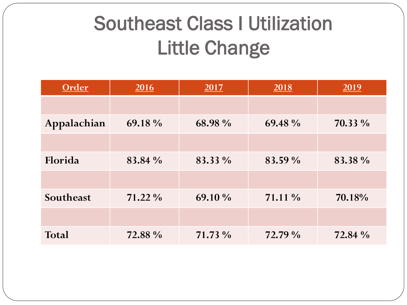#### Southeast Class I Utilization Little Change

| Order        | 2016    | 2017    | 2018    | 2019    |
|--------------|---------|---------|---------|---------|
|              |         |         |         |         |
| Appalachian  | 69.18 % | 68.98 % | 69.48 % | 70.33 % |
|              |         |         |         |         |
| Florida      | 83.84 % | 83.33 % | 83.59 % | 83.38 % |
|              |         |         |         |         |
| Southeast    | 71.22 % | 69.10 % | 71.11 % | 70.18%  |
|              |         |         |         |         |
| <b>Total</b> | 72.88 % | 71.73 % | 72.79 % | 72.84 % |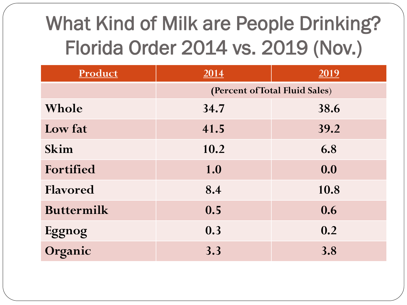## What Kind of Milk are People Drinking? Florida Order 2014 vs. 2019 (Nov.)

| Product           | 2014                           | 2019 |  |  |
|-------------------|--------------------------------|------|--|--|
|                   | (Percent of Total Fluid Sales) |      |  |  |
| Whole             | 34.7                           | 38.6 |  |  |
| Low fat           | 41.5                           | 39.2 |  |  |
| Skim              | 10.2                           | 6.8  |  |  |
| Fortified         | 1.0                            | 0.0  |  |  |
| <b>Flavored</b>   | 8.4                            | 10.8 |  |  |
| <b>Buttermilk</b> | 0.5                            | 0.6  |  |  |
| Eggnog            | 0.3                            | 0.2  |  |  |
| Organic           | 3.3                            | 3.8  |  |  |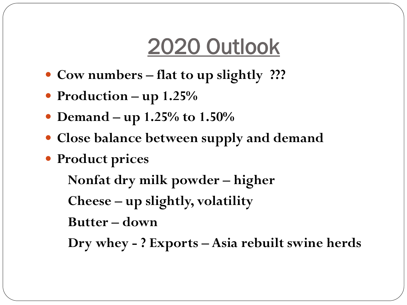#### 2020 Outlook

- **Cow numbers – flat to up slightly ???**
- **Production – up 1.25%**
- **Demand – up 1.25% to 1.50%**
- **Close balance between supply and demand**
- **Product prices**

**Nonfat dry milk powder – higher**

**Cheese – up slightly, volatility**

**Butter – down**

**Dry whey - ? Exports – Asia rebuilt swine herds**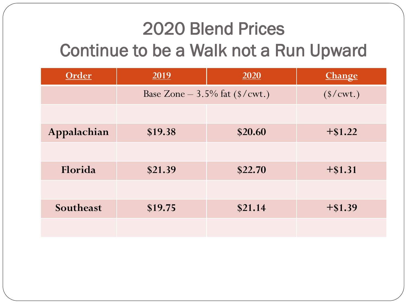#### 2020 Blend Prices Continue to be a Walk not a Run Upward

| Order       | 2019    | 2020                             | <b>Change</b> |
|-------------|---------|----------------------------------|---------------|
|             |         | Base Zone $-3.5\%$ fat (\$/cwt.) |               |
|             |         |                                  |               |
| Appalachian | \$19.38 | \$20.60                          | $+$ \$1.22    |
|             |         |                                  |               |
| Florida     | \$21.39 | \$22.70                          | $+$ \$1.31    |
|             |         |                                  |               |
| Southeast   | \$19.75 | \$21.14                          | $+$ \$1.39    |
|             |         |                                  |               |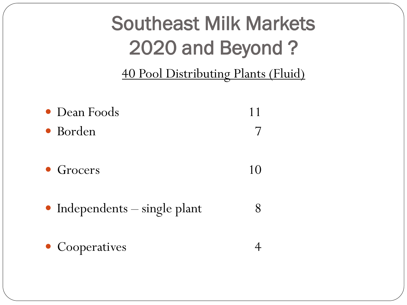#### Southeast Milk Markets 2020 and Beyond ?

40 Pool Distributing Plants (Fluid)

- Dean Foods 11 • Borden 7
- Grocers 10
- Independents single plant 8
- Cooperatives 4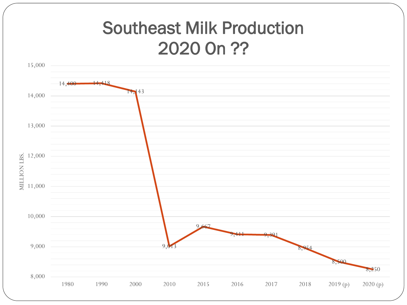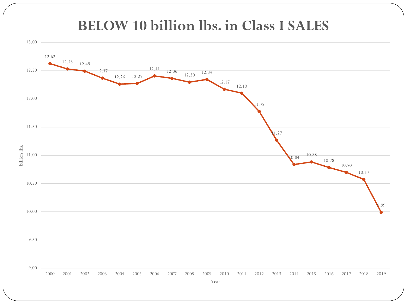#### **BELOW 10 billion lbs. in Class I SALES**

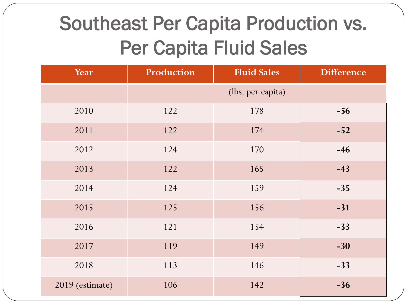#### Southeast Per Capita Production vs. Per Capita Fluid Sales

| Year            | Production        | <b>Fluid Sales</b> | <b>Difference</b> |
|-----------------|-------------------|--------------------|-------------------|
|                 | (lbs. per capita) |                    |                   |
| 2010            | 122               | 178                | $-56$             |
| 2011            | 122               | 174                | $-52$             |
| 2012            | 124               | 170                | $-46$             |
| 2013            | 122               | 165                | $-43$             |
| 2014            | 124               | 159                | $-35$             |
| 2015            | 125               | 156                | $-31$             |
| 2016            | 121               | 154                | $-33$             |
| 2017            | 119               | 149                | $-30$             |
| 2018            | 113               | 146                | $-33$             |
| 2019 (estimate) | 106               | 142                | $-36$             |